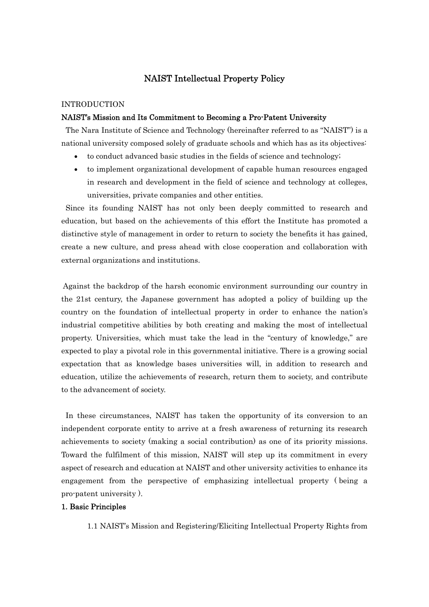# NAIST Intellectual Property Policy

# INTRODUCTION

#### NAIST's Mission and Its Commitment to Becoming a Pro-Patent University

 The Nara Institute of Science and Technology (hereinafter referred to as "NAIST") is a national university composed solely of graduate schools and which has as its objectives:

- to conduct advanced basic studies in the fields of science and technology;
- to implement organizational development of capable human resources engaged in research and development in the field of science and technology at colleges, universities, private companies and other entities.

 Since its founding NAIST has not only been deeply committed to research and education, but based on the achievements of this effort the Institute has promoted a distinctive style of management in order to return to society the benefits it has gained, create a new culture, and press ahead with close cooperation and collaboration with external organizations and institutions.

 Against the backdrop of the harsh economic environment surrounding our country in the 21st century, the Japanese government has adopted a policy of building up the country on the foundation of intellectual property in order to enhance the nation's industrial competitive abilities by both creating and making the most of intellectual property. Universities, which must take the lead in the "century of knowledge," are expected to play a pivotal role in this governmental initiative. There is a growing social expectation that as knowledge bases universities will, in addition to research and education, utilize the achievements of research, return them to society, and contribute to the advancement of society.

 In these circumstances, NAIST has taken the opportunity of its conversion to an independent corporate entity to arrive at a fresh awareness of returning its research achievements to society (making a social contribution) as one of its priority missions. Toward the fulfilment of this mission, NAIST will step up its commitment in every aspect of research and education at NAIST and other university activities to enhance its engagement from the perspective of emphasizing intellectual property ( being a pro-patent university ).

## 1. Basic Principles

1.1 NAIST's Mission and Registering/Eliciting Intellectual Property Rights from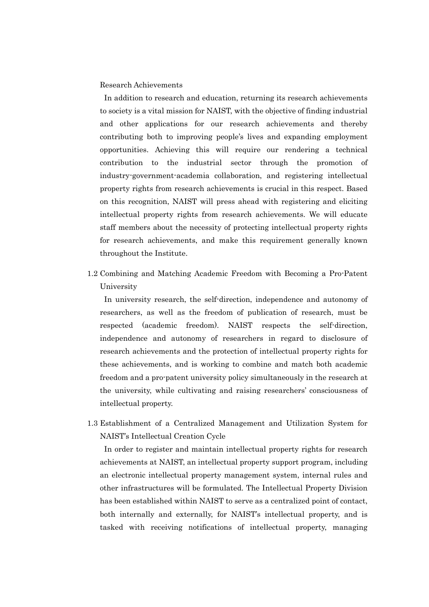## Research Achievements

 In addition to research and education, returning its research achievements to society is a vital mission for NAIST, with the objective of finding industrial and other applications for our research achievements and thereby contributing both to improving people's lives and expanding employment opportunities. Achieving this will require our rendering a technical contribution to the industrial sector through the promotion of industry-government-academia collaboration, and registering intellectual property rights from research achievements is crucial in this respect. Based on this recognition, NAIST will press ahead with registering and eliciting intellectual property rights from research achievements. We will educate staff members about the necessity of protecting intellectual property rights for research achievements, and make this requirement generally known throughout the Institute.

1.2 Combining and Matching Academic Freedom with Becoming a Pro-Patent University

 In university research, the self-direction, independence and autonomy of researchers, as well as the freedom of publication of research, must be respected (academic freedom). NAIST respects the self-direction, independence and autonomy of researchers in regard to disclosure of research achievements and the protection of intellectual property rights for these achievements, and is working to combine and match both academic freedom and a pro-patent university policy simultaneously in the research at the university, while cultivating and raising researchers' consciousness of intellectual property.

1.3 Establishment of a Centralized Management and Utilization System for NAIST's Intellectual Creation Cycle

 In order to register and maintain intellectual property rights for research achievements at NAIST, an intellectual property support program, including an electronic intellectual property management system, internal rules and other infrastructures will be formulated. The Intellectual Property Division has been established within NAIST to serve as a centralized point of contact, both internally and externally, for NAIST's intellectual property, and is tasked with receiving notifications of intellectual property, managing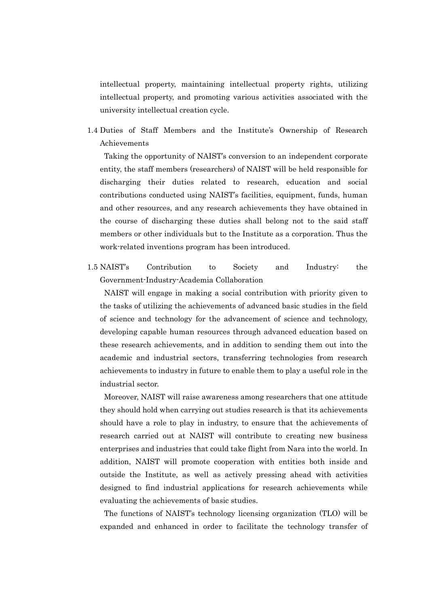intellectual property, maintaining intellectual property rights, utilizing intellectual property, and promoting various activities associated with the university intellectual creation cycle.

1.4 Duties of Staff Members and the Institute's Ownership of Research Achievements

 Taking the opportunity of NAIST's conversion to an independent corporate entity, the staff members (researchers) of NAIST will be held responsible for discharging their duties related to research, education and social contributions conducted using NAIST's facilities, equipment, funds, human and other resources, and any research achievements they have obtained in the course of discharging these duties shall belong not to the said staff members or other individuals but to the Institute as a corporation. Thus the work-related inventions program has been introduced.

1.5 NAIST's Contribution to Society and Industry: the Government-Industry-Academia Collaboration

 NAIST will engage in making a social contribution with priority given to the tasks of utilizing the achievements of advanced basic studies in the field of science and technology for the advancement of science and technology, developing capable human resources through advanced education based on these research achievements, and in addition to sending them out into the academic and industrial sectors, transferring technologies from research achievements to industry in future to enable them to play a useful role in the industrial sector.

 Moreover, NAIST will raise awareness among researchers that one attitude they should hold when carrying out studies research is that its achievements should have a role to play in industry, to ensure that the achievements of research carried out at NAIST will contribute to creating new business enterprises and industries that could take flight from Nara into the world. In addition, NAIST will promote cooperation with entities both inside and outside the Institute, as well as actively pressing ahead with activities designed to find industrial applications for research achievements while evaluating the achievements of basic studies.

 The functions of NAIST's technology licensing organization (TLO) will be expanded and enhanced in order to facilitate the technology transfer of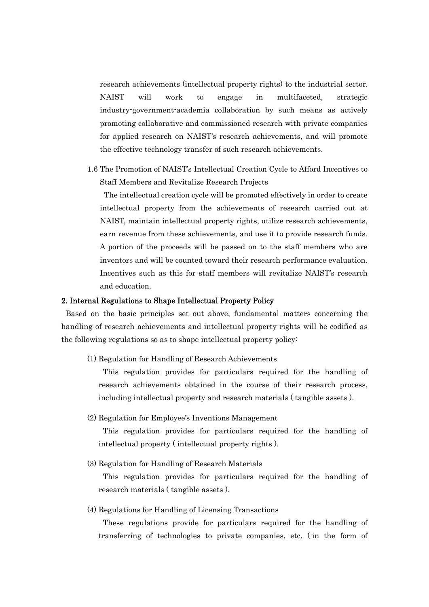research achievements (intellectual property rights) to the industrial sector. NAIST will work to engage in multifaceted, strategic industry-government-academia collaboration by such means as actively promoting collaborative and commissioned research with private companies for applied research on NAIST's research achievements, and will promote the effective technology transfer of such research achievements.

1.6 The Promotion of NAIST's Intellectual Creation Cycle to Afford Incentives to Staff Members and Revitalize Research Projects

 The intellectual creation cycle will be promoted effectively in order to create intellectual property from the achievements of research carried out at NAIST, maintain intellectual property rights, utilize research achievements, earn revenue from these achievements, and use it to provide research funds. A portion of the proceeds will be passed on to the staff members who are inventors and will be counted toward their research performance evaluation. Incentives such as this for staff members will revitalize NAIST's research and education.

## 2. Internal Regulations to Shape Intellectual Property Policy

 Based on the basic principles set out above, fundamental matters concerning the handling of research achievements and intellectual property rights will be codified as the following regulations so as to shape intellectual property policy:

(1) Regulation for Handling of Research Achievements

 This regulation provides for particulars required for the handling of research achievements obtained in the course of their research process, including intellectual property and research materials ( tangible assets ).

(2) Regulation for Employee's Inventions Management

 This regulation provides for particulars required for the handling of intellectual property ( intellectual property rights ).

(3) Regulation for Handling of Research Materials

 This regulation provides for particulars required for the handling of research materials ( tangible assets ).

(4) Regulations for Handling of Licensing Transactions

 These regulations provide for particulars required for the handling of transferring of technologies to private companies, etc. ( in the form of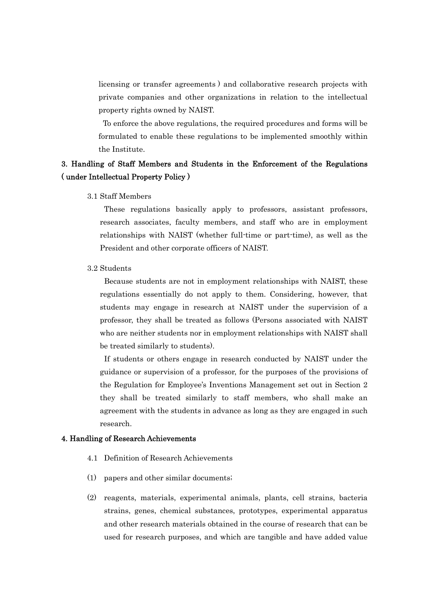licensing or transfer agreements ) and collaborative research projects with private companies and other organizations in relation to the intellectual property rights owned by NAIST.

 To enforce the above regulations, the required procedures and forms will be formulated to enable these regulations to be implemented smoothly within the Institute.

# 3. Handling of Staff Members and Students in the Enforcement of the Regulations ( under Intellectual Property Policy )

#### 3.1 Staff Members

 These regulations basically apply to professors, assistant professors, research associates, faculty members, and staff who are in employment relationships with NAIST (whether full-time or part-time), as well as the President and other corporate officers of NAIST.

## 3.2 Students

 Because students are not in employment relationships with NAIST, these regulations essentially do not apply to them. Considering, however, that students may engage in research at NAIST under the supervision of a professor, they shall be treated as follows (Persons associated with NAIST who are neither students nor in employment relationships with NAIST shall be treated similarly to students).

 If students or others engage in research conducted by NAIST under the guidance or supervision of a professor, for the purposes of the provisions of the Regulation for Employee's Inventions Management set out in Section 2 they shall be treated similarly to staff members, who shall make an agreement with the students in advance as long as they are engaged in such research.

## 4. Handling of Research Achievements

- 4.1 Definition of Research Achievements
- (1) papers and other similar documents;
- (2) reagents, materials, experimental animals, plants, cell strains, bacteria strains, genes, chemical substances, prototypes, experimental apparatus and other research materials obtained in the course of research that can be used for research purposes, and which are tangible and have added value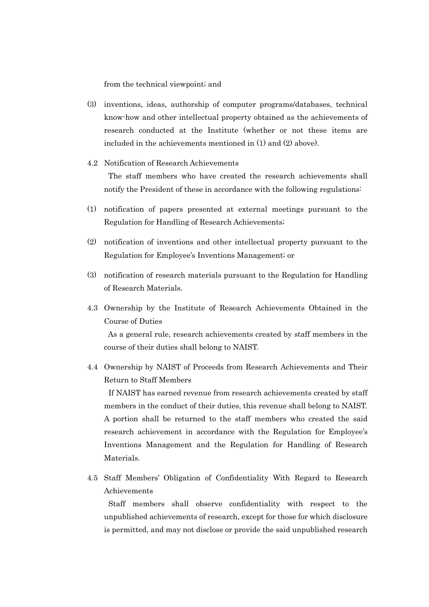from the technical viewpoint; and

- (3) inventions, ideas, authorship of computer programs/databases, technical know-how and other intellectual property obtained as the achievements of research conducted at the Institute (whether or not these items are included in the achievements mentioned in (1) and (2) above).
- 4.2 Notification of Research Achievements The staff members who have created the research achievements shall notify the President of these in accordance with the following regulations:
- (1) notification of papers presented at external meetings pursuant to the Regulation for Handling of Research Achievements;
- (2) notification of inventions and other intellectual property pursuant to the Regulation for Employee's Inventions Management; or
- (3) notification of research materials pursuant to the Regulation for Handling of Research Materials.
- 4.3 Ownership by the Institute of Research Achievements Obtained in the Course of Duties

 As a general rule, research achievements created by staff members in the course of their duties shall belong to NAIST.

4.4 Ownership by NAIST of Proceeds from Research Achievements and Their Return to Staff Members

 If NAIST has earned revenue from research achievements created by staff members in the conduct of their duties, this revenue shall belong to NAIST. A portion shall be returned to the staff members who created the said research achievement in accordance with the Regulation for Employee's Inventions Management and the Regulation for Handling of Research Materials.

4.5 Staff Members' Obligation of Confidentiality With Regard to Research Achievements

 Staff members shall observe confidentiality with respect to the unpublished achievements of research, except for those for which disclosure is permitted, and may not disclose or provide the said unpublished research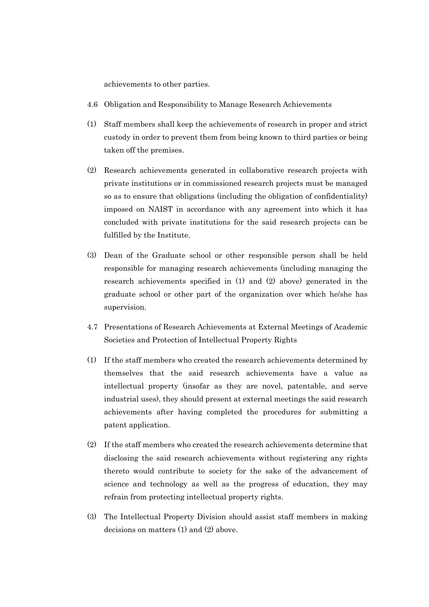achievements to other parties.

- 4.6 Obligation and Responsibility to Manage Research Achievements
- (1) Staff members shall keep the achievements of research in proper and strict custody in order to prevent them from being known to third parties or being taken off the premises.
- (2) Research achievements generated in collaborative research projects with private institutions or in commissioned research projects must be managed so as to ensure that obligations (including the obligation of confidentiality) imposed on NAIST in accordance with any agreement into which it has concluded with private institutions for the said research projects can be fulfilled by the Institute.
- (3) Dean of the Graduate school or other responsible person shall be held responsible for managing research achievements (including managing the research achievements specified in (1) and (2) above) generated in the graduate school or other part of the organization over which he/she has supervision.
- 4.7 Presentations of Research Achievements at External Meetings of Academic Societies and Protection of Intellectual Property Rights
- (1) If the staff members who created the research achievements determined by themselves that the said research achievements have a value as intellectual property (insofar as they are novel, patentable, and serve industrial uses), they should present at external meetings the said research achievements after having completed the procedures for submitting a patent application.
- (2) If the staff members who created the research achievements determine that disclosing the said research achievements without registering any rights thereto would contribute to society for the sake of the advancement of science and technology as well as the progress of education, they may refrain from protecting intellectual property rights.
- (3) The Intellectual Property Division should assist staff members in making decisions on matters (1) and (2) above.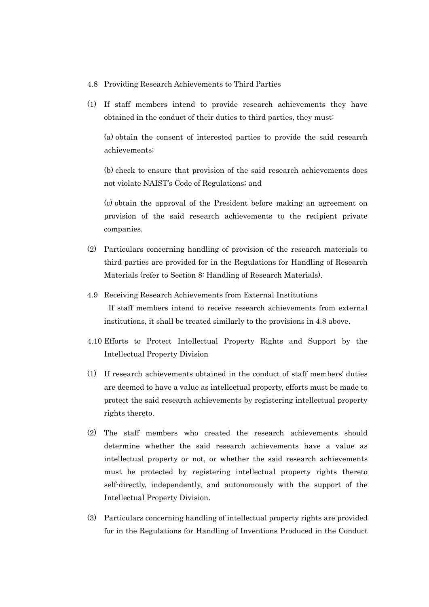#### 4.8 Providing Research Achievements to Third Parties

(1) If staff members intend to provide research achievements they have obtained in the conduct of their duties to third parties, they must:

 (a) obtain the consent of interested parties to provide the said research achievements;

 (b) check to ensure that provision of the said research achievements does not violate NAIST's Code of Regulations; and

 (c) obtain the approval of the President before making an agreement on provision of the said research achievements to the recipient private companies.

- (2) Particulars concerning handling of provision of the research materials to third parties are provided for in the Regulations for Handling of Research Materials (refer to Section 8: Handling of Research Materials).
- 4.9 Receiving Research Achievements from External Institutions If staff members intend to receive research achievements from external

institutions, it shall be treated similarly to the provisions in 4.8 above.

- 4.10 Efforts to Protect Intellectual Property Rights and Support by the Intellectual Property Division
- (1) If research achievements obtained in the conduct of staff members' duties are deemed to have a value as intellectual property, efforts must be made to protect the said research achievements by registering intellectual property rights thereto.
- (2) The staff members who created the research achievements should determine whether the said research achievements have a value as intellectual property or not, or whether the said research achievements must be protected by registering intellectual property rights thereto self-directly, independently, and autonomously with the support of the Intellectual Property Division.
- (3) Particulars concerning handling of intellectual property rights are provided for in the Regulations for Handling of Inventions Produced in the Conduct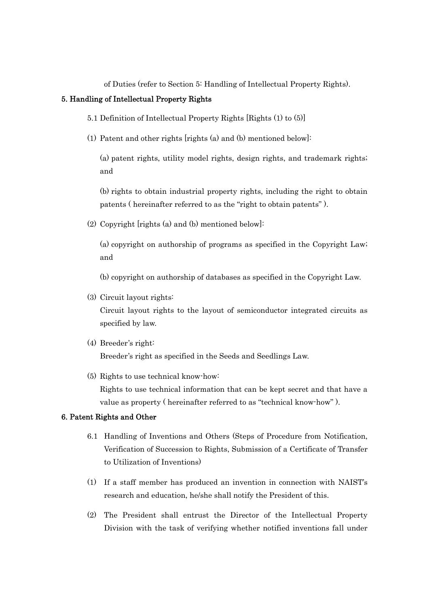of Duties (refer to Section 5: Handling of Intellectual Property Rights).

# 5. Handling of Intellectual Property Rights

- 5.1 Definition of Intellectual Property Rights [Rights (1) to (5)]
- (1) Patent and other rights [rights (a) and (b) mentioned below]:

 (a) patent rights, utility model rights, design rights, and trademark rights; and

 (b) rights to obtain industrial property rights, including the right to obtain patents ( hereinafter referred to as the "right to obtain patents" ).

(2) Copyright [rights (a) and (b) mentioned below]:

 (a) copyright on authorship of programs as specified in the Copyright Law; and

(b) copyright on authorship of databases as specified in the Copyright Law.

(3) Circuit layout rights:

Circuit layout rights to the layout of semiconductor integrated circuits as specified by law.

# (4) Breeder's right:

Breeder's right as specified in the Seeds and Seedlings Law.

(5) Rights to use technical know-how:

Rights to use technical information that can be kept secret and that have a value as property ( hereinafter referred to as "technical know-how" ).

## 6. Patent Rights and Other

- 6.1 Handling of Inventions and Others (Steps of Procedure from Notification, Verification of Succession to Rights, Submission of a Certificate of Transfer to Utilization of Inventions)
- (1) If a staff member has produced an invention in connection with NAIST's research and education, he/she shall notify the President of this.
- (2) The President shall entrust the Director of the Intellectual Property Division with the task of verifying whether notified inventions fall under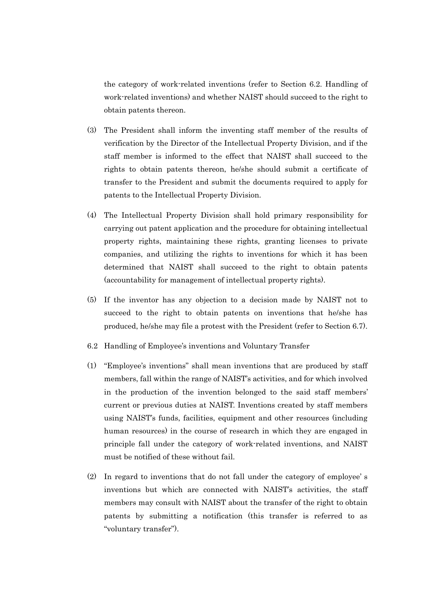the category of work-related inventions (refer to Section 6.2. Handling of work-related inventions) and whether NAIST should succeed to the right to obtain patents thereon.

- (3) The President shall inform the inventing staff member of the results of verification by the Director of the Intellectual Property Division, and if the staff member is informed to the effect that NAIST shall succeed to the rights to obtain patents thereon, he/she should submit a certificate of transfer to the President and submit the documents required to apply for patents to the Intellectual Property Division.
- (4) The Intellectual Property Division shall hold primary responsibility for carrying out patent application and the procedure for obtaining intellectual property rights, maintaining these rights, granting licenses to private companies, and utilizing the rights to inventions for which it has been determined that NAIST shall succeed to the right to obtain patents (accountability for management of intellectual property rights).
- (5) If the inventor has any objection to a decision made by NAIST not to succeed to the right to obtain patents on inventions that he/she has produced, he/she may file a protest with the President (refer to Section 6.7).
- 6.2 Handling of Employee's inventions and Voluntary Transfer
- (1) "Employee's inventions" shall mean inventions that are produced by staff members, fall within the range of NAIST's activities, and for which involved in the production of the invention belonged to the said staff members' current or previous duties at NAIST. Inventions created by staff members using NAIST's funds, facilities, equipment and other resources (including human resources) in the course of research in which they are engaged in principle fall under the category of work-related inventions, and NAIST must be notified of these without fail.
- (2) In regard to inventions that do not fall under the category of employee' s inventions but which are connected with NAIST's activities, the staff members may consult with NAIST about the transfer of the right to obtain patents by submitting a notification (this transfer is referred to as "voluntary transfer").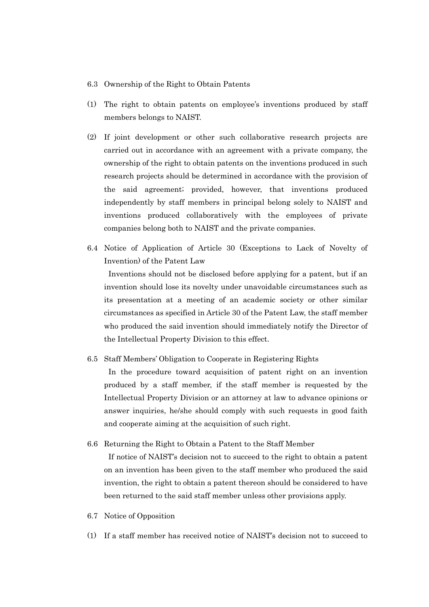#### 6.3 Ownership of the Right to Obtain Patents

- (1) The right to obtain patents on employee's inventions produced by staff members belongs to NAIST.
- (2) If joint development or other such collaborative research projects are carried out in accordance with an agreement with a private company, the ownership of the right to obtain patents on the inventions produced in such research projects should be determined in accordance with the provision of the said agreement; provided, however, that inventions produced independently by staff members in principal belong solely to NAIST and inventions produced collaboratively with the employees of private companies belong both to NAIST and the private companies.
- 6.4 Notice of Application of Article 30 (Exceptions to Lack of Novelty of Invention) of the Patent Law

 Inventions should not be disclosed before applying for a patent, but if an invention should lose its novelty under unavoidable circumstances such as its presentation at a meeting of an academic society or other similar circumstances as specified in Article 30 of the Patent Law, the staff member who produced the said invention should immediately notify the Director of the Intellectual Property Division to this effect.

## 6.5 Staff Members' Obligation to Cooperate in Registering Rights

 In the procedure toward acquisition of patent right on an invention produced by a staff member, if the staff member is requested by the Intellectual Property Division or an attorney at law to advance opinions or answer inquiries, he/she should comply with such requests in good faith and cooperate aiming at the acquisition of such right.

## 6.6 Returning the Right to Obtain a Patent to the Staff Member

 If notice of NAIST's decision not to succeed to the right to obtain a patent on an invention has been given to the staff member who produced the said invention, the right to obtain a patent thereon should be considered to have been returned to the said staff member unless other provisions apply.

- 6.7 Notice of Opposition
- (1) If a staff member has received notice of NAIST's decision not to succeed to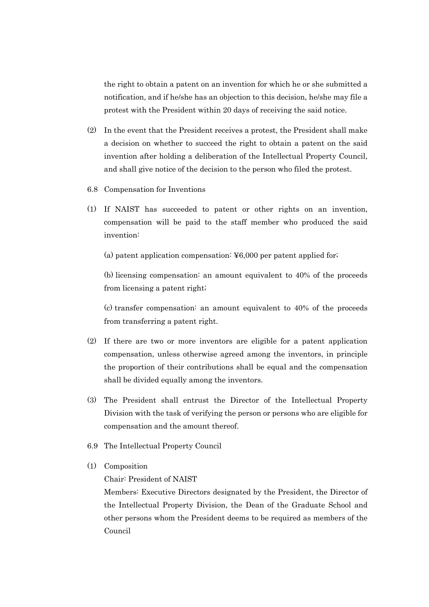the right to obtain a patent on an invention for which he or she submitted a notification, and if he/she has an objection to this decision, he/she may file a protest with the President within 20 days of receiving the said notice.

- (2) In the event that the President receives a protest, the President shall make a decision on whether to succeed the right to obtain a patent on the said invention after holding a deliberation of the Intellectual Property Council, and shall give notice of the decision to the person who filed the protest.
- 6.8 Compensation for Inventions
- (1) If NAIST has succeeded to patent or other rights on an invention, compensation will be paid to the staff member who produced the said invention:

(a) patent application compensation:  $\yen 6,000$  per patent applied for;

 (b) licensing compensation: an amount equivalent to 40% of the proceeds from licensing a patent right;

 (c) transfer compensation: an amount equivalent to 40% of the proceeds from transferring a patent right.

- (2) If there are two or more inventors are eligible for a patent application compensation, unless otherwise agreed among the inventors, in principle the proportion of their contributions shall be equal and the compensation shall be divided equally among the inventors.
- (3) The President shall entrust the Director of the Intellectual Property Division with the task of verifying the person or persons who are eligible for compensation and the amount thereof.
- 6.9 The Intellectual Property Council
- (1) Composition

Chair: President of NAIST

Members: Executive Directors designated by the President, the Director of the Intellectual Property Division, the Dean of the Graduate School and other persons whom the President deems to be required as members of the Council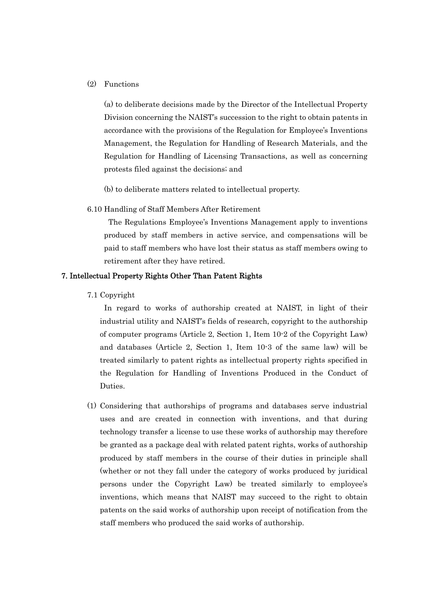## (2) Functions

 (a) to deliberate decisions made by the Director of the Intellectual Property Division concerning the NAIST's succession to the right to obtain patents in accordance with the provisions of the Regulation for Employee's Inventions Management, the Regulation for Handling of Research Materials, and the Regulation for Handling of Licensing Transactions, as well as concerning protests filed against the decisions; and

(b) to deliberate matters related to intellectual property.

#### 6.10 Handling of Staff Members After Retirement

 The Regulations Employee's Inventions Management apply to inventions produced by staff members in active service, and compensations will be paid to staff members who have lost their status as staff members owing to retirement after they have retired.

# 7. Intellectual Property Rights Other Than Patent Rights

7.1 Copyright

 In regard to works of authorship created at NAIST, in light of their industrial utility and NAIST's fields of research, copyright to the authorship of computer programs (Article 2, Section 1, Item 10-2 of the Copyright Law) and databases (Article 2, Section 1, Item 10-3 of the same law) will be treated similarly to patent rights as intellectual property rights specified in the Regulation for Handling of Inventions Produced in the Conduct of Duties.

(1) Considering that authorships of programs and databases serve industrial uses and are created in connection with inventions, and that during technology transfer a license to use these works of authorship may therefore be granted as a package deal with related patent rights, works of authorship produced by staff members in the course of their duties in principle shall (whether or not they fall under the category of works produced by juridical persons under the Copyright Law) be treated similarly to employee's inventions, which means that NAIST may succeed to the right to obtain patents on the said works of authorship upon receipt of notification from the staff members who produced the said works of authorship.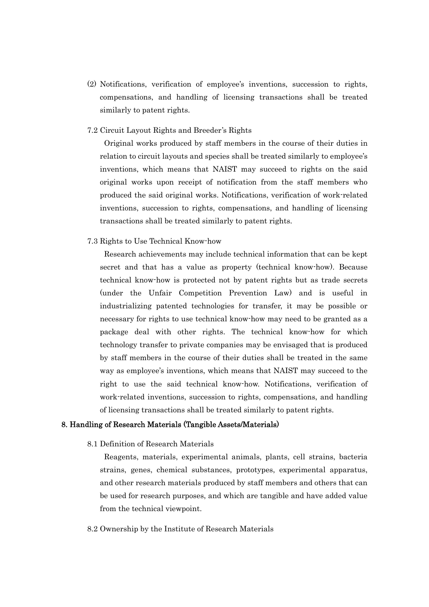- (2) Notifications, verification of employee's inventions, succession to rights, compensations, and handling of licensing transactions shall be treated similarly to patent rights.
- 7.2 Circuit Layout Rights and Breeder's Rights

 Original works produced by staff members in the course of their duties in relation to circuit layouts and species shall be treated similarly to employee's inventions, which means that NAIST may succeed to rights on the said original works upon receipt of notification from the staff members who produced the said original works. Notifications, verification of work-related inventions, succession to rights, compensations, and handling of licensing transactions shall be treated similarly to patent rights.

7.3 Rights to Use Technical Know-how

 Research achievements may include technical information that can be kept secret and that has a value as property (technical know-how). Because technical know-how is protected not by patent rights but as trade secrets (under the Unfair Competition Prevention Law) and is useful in industrializing patented technologies for transfer, it may be possible or necessary for rights to use technical know-how may need to be granted as a package deal with other rights. The technical know-how for which technology transfer to private companies may be envisaged that is produced by staff members in the course of their duties shall be treated in the same way as employee's inventions, which means that NAIST may succeed to the right to use the said technical know-how. Notifications, verification of work-related inventions, succession to rights, compensations, and handling of licensing transactions shall be treated similarly to patent rights.

#### 8. Handling of Research Materials (Tangible Assets/Materials)

8.1 Definition of Research Materials

 Reagents, materials, experimental animals, plants, cell strains, bacteria strains, genes, chemical substances, prototypes, experimental apparatus, and other research materials produced by staff members and others that can be used for research purposes, and which are tangible and have added value from the technical viewpoint.

8.2 Ownership by the Institute of Research Materials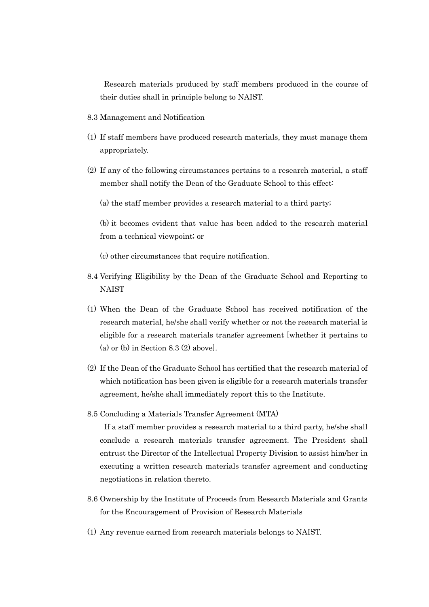Research materials produced by staff members produced in the course of their duties shall in principle belong to NAIST.

- 8.3 Management and Notification
- (1) If staff members have produced research materials, they must manage them appropriately.
- (2) If any of the following circumstances pertains to a research material, a staff member shall notify the Dean of the Graduate School to this effect:
	- (a) the staff member provides a research material to a third party;

 (b) it becomes evident that value has been added to the research material from a technical viewpoint; or

(c) other circumstances that require notification.

- 8.4 Verifying Eligibility by the Dean of the Graduate School and Reporting to **NAIST**
- (1) When the Dean of the Graduate School has received notification of the research material, he/she shall verify whether or not the research material is eligible for a research materials transfer agreement [whether it pertains to (a) or (b) in Section  $8.3$  (2) above].
- (2) If the Dean of the Graduate School has certified that the research material of which notification has been given is eligible for a research materials transfer agreement, he/she shall immediately report this to the Institute.
- 8.5 Concluding a Materials Transfer Agreement (MTA)

 If a staff member provides a research material to a third party, he/she shall conclude a research materials transfer agreement. The President shall entrust the Director of the Intellectual Property Division to assist him/her in executing a written research materials transfer agreement and conducting negotiations in relation thereto.

- 8.6 Ownership by the Institute of Proceeds from Research Materials and Grants for the Encouragement of Provision of Research Materials
- (1) Any revenue earned from research materials belongs to NAIST.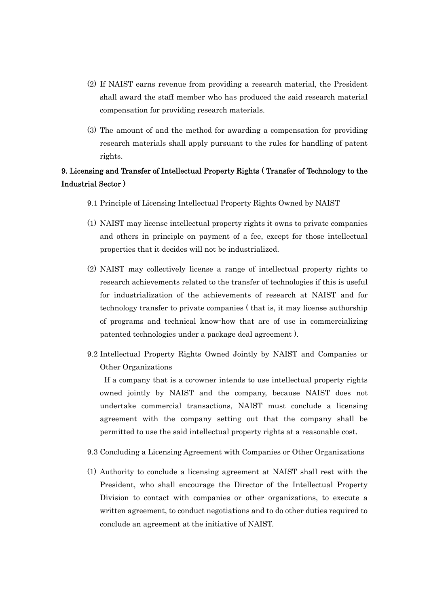- (2) If NAIST earns revenue from providing a research material, the President shall award the staff member who has produced the said research material compensation for providing research materials.
- (3) The amount of and the method for awarding a compensation for providing research materials shall apply pursuant to the rules for handling of patent rights.

# 9. Licensing and Transfer of Intellectual Property Rights ( Transfer of Technology to the Industrial Sector )

- 9.1 Principle of Licensing Intellectual Property Rights Owned by NAIST
- (1) NAIST may license intellectual property rights it owns to private companies and others in principle on payment of a fee, except for those intellectual properties that it decides will not be industrialized.
- (2) NAIST may collectively license a range of intellectual property rights to research achievements related to the transfer of technologies if this is useful for industrialization of the achievements of research at NAIST and for technology transfer to private companies ( that is, it may license authorship of programs and technical know-how that are of use in commercializing patented technologies under a package deal agreement ).
- 9.2 Intellectual Property Rights Owned Jointly by NAIST and Companies or Other Organizations

 If a company that is a co-owner intends to use intellectual property rights owned jointly by NAIST and the company, because NAIST does not undertake commercial transactions, NAIST must conclude a licensing agreement with the company setting out that the company shall be permitted to use the said intellectual property rights at a reasonable cost.

- 9.3 Concluding a Licensing Agreement with Companies or Other Organizations
- (1) Authority to conclude a licensing agreement at NAIST shall rest with the President, who shall encourage the Director of the Intellectual Property Division to contact with companies or other organizations, to execute a written agreement, to conduct negotiations and to do other duties required to conclude an agreement at the initiative of NAIST.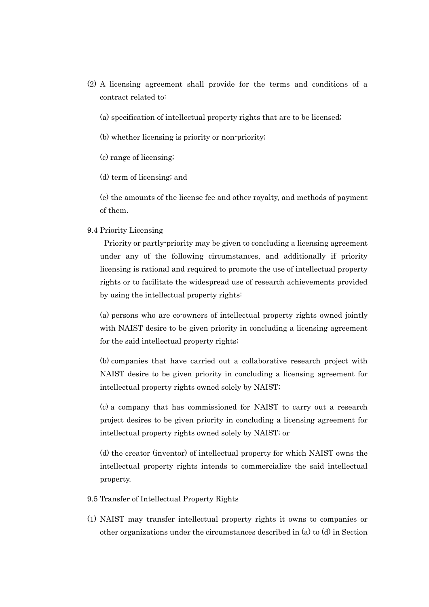- (2) A licensing agreement shall provide for the terms and conditions of a contract related to:
	- (a) specification of intellectual property rights that are to be licensed;
	- (b) whether licensing is priority or non-priority;
	- (c) range of licensing;
	- (d) term of licensing; and

 (e) the amounts of the license fee and other royalty, and methods of payment of them.

# 9.4 Priority Licensing

 Priority or partly-priority may be given to concluding a licensing agreement under any of the following circumstances, and additionally if priority licensing is rational and required to promote the use of intellectual property rights or to facilitate the widespread use of research achievements provided by using the intellectual property rights:

 (a) persons who are co-owners of intellectual property rights owned jointly with NAIST desire to be given priority in concluding a licensing agreement for the said intellectual property rights;

 (b) companies that have carried out a collaborative research project with NAIST desire to be given priority in concluding a licensing agreement for intellectual property rights owned solely by NAIST;

 (c) a company that has commissioned for NAIST to carry out a research project desires to be given priority in concluding a licensing agreement for intellectual property rights owned solely by NAIST; or

 (d) the creator (inventor) of intellectual property for which NAIST owns the intellectual property rights intends to commercialize the said intellectual property.

- 9.5 Transfer of Intellectual Property Rights
- (1) NAIST may transfer intellectual property rights it owns to companies or other organizations under the circumstances described in (a) to (d) in Section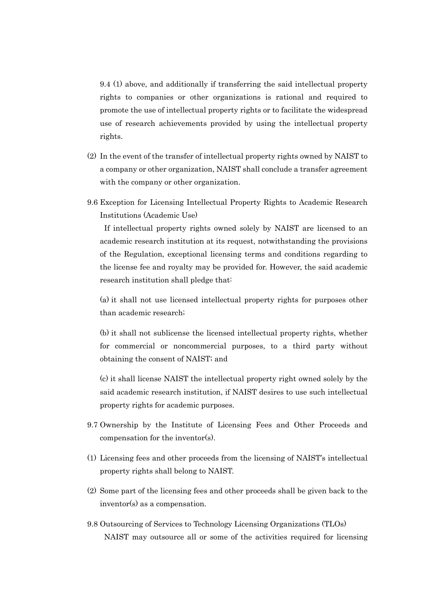9.4 (1) above, and additionally if transferring the said intellectual property rights to companies or other organizations is rational and required to promote the use of intellectual property rights or to facilitate the widespread use of research achievements provided by using the intellectual property rights.

- (2) In the event of the transfer of intellectual property rights owned by NAIST to a company or other organization, NAIST shall conclude a transfer agreement with the company or other organization.
- 9.6 Exception for Licensing Intellectual Property Rights to Academic Research Institutions (Academic Use)

 If intellectual property rights owned solely by NAIST are licensed to an academic research institution at its request, notwithstanding the provisions of the Regulation, exceptional licensing terms and conditions regarding to the license fee and royalty may be provided for. However, the said academic research institution shall pledge that:

 (a) it shall not use licensed intellectual property rights for purposes other than academic research;

 (b) it shall not sublicense the licensed intellectual property rights, whether for commercial or noncommercial purposes, to a third party without obtaining the consent of NAIST; and

 (c) it shall license NAIST the intellectual property right owned solely by the said academic research institution, if NAIST desires to use such intellectual property rights for academic purposes.

- 9.7 Ownership by the Institute of Licensing Fees and Other Proceeds and compensation for the inventor(s).
- (1) Licensing fees and other proceeds from the licensing of NAIST's intellectual property rights shall belong to NAIST.
- (2) Some part of the licensing fees and other proceeds shall be given back to the inventor(s) as a compensation.
- 9.8 Outsourcing of Services to Technology Licensing Organizations (TLOs) NAIST may outsource all or some of the activities required for licensing